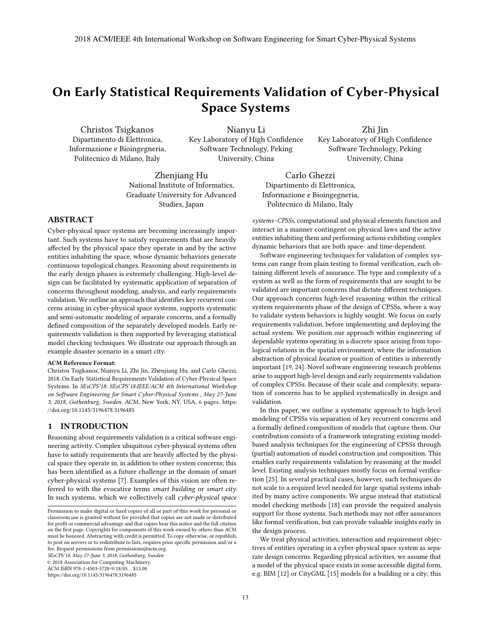# **On Early Statistical Requirements Validation of Cyber-Physical Space Systems**

Christos Tsigkanos Dipartimento di Elettronica, Informazione e Bioingegneria, Politecnico di Milano, Italy

Nianyu Li Key Laboratory of High Confidence Software Technology, Peking University, China

Zhenjiang Hu National Institute of Informatics, Graduate University for Advanced Studies, Japan

## **ABSTRACT**

Cyber-physical space systems are becoming increasingly important. Such systems have to satisfy requirements that are heavily affected by the physical space they operate in and by the active entities inhabiting the space, whose dynamic behaviors generate continuous topological changes. Reasoning about requirements in the early design phases is extremely challenging. High-level design can be facilitated by systematic application of separation of concerns throughout modeling, analysis, and early requirements validation. We outline an approach that identifies key recurrent concerns arising in cyber-physical space systems, supports systematic and semi-automatic modeling of separate concerns, and a formally defined composition of the separately developed models. Early requirements validation is then supported by leveraging statistical model checking techniques. We illustrate our approach through an example disaster scenario in a smart city.

#### **ACM Reference Format:**

Christos Tsigkanos, Nianyu Li, Zhi Jin, Zhenjiang Hu, and Carlo Ghezzi. 2018. On Early Statistical Requirements Validation of Cyber-Physical Space Systems. In *SEsCPS'18: SEsCPS'18:IEEE/ACM 4th International Workshop on Software Engineering for Smart Cyber-Physical Systems , May 27-June 3, 2018, Gothenburg, Sweden.* ACM, New York, NY, USA, 6 pages. https: //doi.org/10.1145/3196478.3196485

## **1 INTRODUCTION**

Reasoning about requirements validation is a critical software engineering activity. Complex ubiquitous cyber-physical systems often have to satisfy requirements that are heavily affected by the physical space they operate in, in addition to other system concerns; this has been identified as a future challenge in the domain of smart cyber-physical systems [7]. Examples of this vision are often referred to with the evocative terms *smart building* or *smart city*. In such systems, which we collectively call *cyber-physical space*

*SEsCPS'18, May 27-June 3, 2018, Gothenburg, Sweden*

© 2018 Association for Computing Machinery.

ACM ISBN 978-1-4503-5728-9/18/05. . . \$15.00

https://doi.org/10.1145/3196478.3196485

Carlo Ghezzi Dipartimento di Elettronica, Informazione e Bioingegneria,

Politecnico di Milano, Italy

*systems–CPSSs*, computational and physical elements function and interact in a manner contingent on physical laws and the active entities inhabiting them and performing actions exhibiting complex dynamic behaviors that are both space- and time-dependent.

Zhi Jin Key Laboratory of High Confidence Software Technology, Peking University, China

Software engineering techniques for validation of complex systems can range from plain testing to formal verification, each obtaining different levels of assurance. The type and complexity of a system as well as the form of requirements that are sought to be validated are important concerns that dictate different techniques. Our approach concerns high-level reasoning within the critical system requirements phase of the design of CPSSs, where a way to validate system behaviors is highly sought. We focus on early requirements validation, before implementing and deploying the actual system. We position our approach within engineering of dependable systems operating in a discrete space arising from topological relations in the spatial environment, where the information abstraction of physical *location* or position of entities is inherently important [19, 24]. Novel software engineering research problems arise to support high-level design and early requirements validation of complex CPSSs. Because of their scale and complexity, separation of concerns has to be applied systematically in design and validation.

In this paper, we outline a systematic approach to high-level modeling of CPSSs via separation of key recurrent concerns and a formally defined composition of models that capture them. Our contribution consists of a framework integrating existing modelbased analysis techniques for the engineering of CPSSs through (partial) automation of model construction and composition. This enables early requirements validation by reasoning at the model level. Existing analysis techniques mostly focus on formal verification [25]. In several practical cases, however, such techniques do not scale to a required level needed for large spatial systems inhabited by many active components. We argue instead that statistical model checking methods [18] can provide the required analysis support for those systems. Such methods may not offer assurances like formal verification, but can provide valuable insights early in the design process.

We treat physical activities, interaction and requirement objectives of entities operating in a cyber-physical space system as separate design concerns. Regarding physical activities, we assume that a model of the physical space exists in some accessible digital form, e.g. BIM [12] or CityGML [15] models for a building or a city; this

Permission to make digital or hard copies of all or part of this work for personal or classroom use is granted without fee provided that copies are not made or distributed for profit or commercial advantage and that copies bear this notice and the full citation on the first page. Copyrights for components of this work owned by others than ACM must be honored. Abstracting with credit is permitted. To copy otherwise, or republish, to post on servers or to redistribute to lists, requires prior specific permission and/or a fee. Request permissions from permissions@acm.org.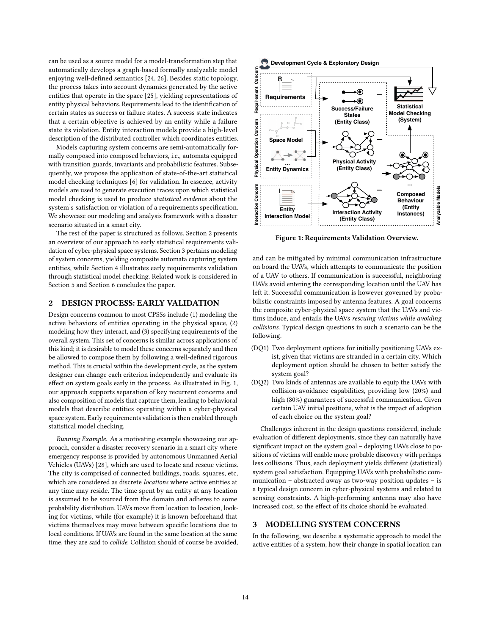can be used as a source model for a model-transformation step that automatically develops a graph-based formally analyzable model enjoying well-defined semantics [24, 26]. Besides static topology, the process takes into account dynamics generated by the active entities that operate in the space [25], yielding representations of entity physical behaviors. Requirements lead to the identification of certain states as success or failure states. A success state indicates that a certain objective is achieved by an entity while a failure state its violation. Entity interaction models provide a high-level description of the distributed controller which coordinates entities.

Models capturing system concerns are semi-automatically formally composed into composed behaviors, i.e., automata equipped with transition guards, invariants and probabilistic features. Subsequently, we propose the application of state-of-the-art statistical model checking techniques [6] for validation. In essence, activity models are used to generate execution traces upon which statistical model checking is used to produce *statistical evidence* about the system's satisfaction or violation of a requirements specification. We showcase our modeling and analysis framework with a disaster scenario situated in a smart city.

The rest of the paper is structured as follows. Section 2 presents an overview of our approach to early statistical requirements validation of cyber-physical space systems. Section 3 pertains modeling of system concerns, yielding composite automata capturing system entities, while Section 4 illustrates early requirements validation through statistical model checking. Related work is considered in Section 5 and Section 6 concludes the paper.

# **2 DESIGN PROCESS: EARLY VALIDATION**

Design concerns common to most CPSSs include (1) modeling the active behaviors of entities operating in the physical space, (2) modeling how they interact, and (3) specifying requirements of the overall system. This set of concerns is similar across applications of this kind; it is desirable to model these concerns separately and then be allowed to compose them by following a well-defined rigorous method. This is crucial within the development cycle, as the system designer can change each criterion independently and evaluate its effect on system goals early in the process. As illustrated in Fig. 1, our approach supports separation of key recurrent concerns and also composition of models that capture them, leading to behavioral models that describe entities operating within a cyber-physical space system. Early requirements validation is then enabled through statistical model checking.

*Running Example.* As a motivating example showcasing our approach, consider a disaster recovery scenario in a smart city where emergency response is provided by autonomous Unmanned Aerial Vehicles (UAVs) [28], which are used to locate and rescue victims. The city is comprised of connected buildings, roads, squares, etc, which are considered as discrete *locations* where active entities at any time may reside. The time spent by an entity at any location is assumed to be sourced from the domain and adheres to some probability distribution. UAVs move from location to location, looking for victims, while (for example) it is known beforehand that victims themselves may move between specific locations due to local conditions. If UAVs are found in the same location at the same time, they are said to *collide*. Collision should of course be avoided,



**Figure 1: Requirements Validation Overview.**

and can be mitigated by minimal communication infrastructure on board the UAVs, which attempts to communicate the position of a UAV to others. If communication is successful, neighboring UAVs avoid entering the corresponding location until the UAV has left it. Successful communication is however governed by probabilistic constraints imposed by antenna features. A goal concerns the composite cyber-physical space system that the UAVs and victims induce, and entails the UAVs *rescuing victims while avoiding collisions*. Typical design questions in such a scenario can be the following.

- (DQ1) Two deployment options for initially positioning UAVs exist, given that victims are stranded in a certain city. Which deployment option should be chosen to better satisfy the system goal?
- (DQ2) Two kinds of antennas are available to equip the UAVs with collision-avoidance capabilities, providing low (20%) and high (80%) guarantees of successful communication. Given certain UAV initial positions, what is the impact of adoption of each choice on the system goal?

Challenges inherent in the design questions considered, include evaluation of different deployments, since they can naturally have significant impact on the system goal – deploying UAVs close to positions of victims will enable more probable discovery with perhaps less collisions. Thus, each deployment yields different (statistical) system goal satisfaction. Equipping UAVs with probabilistic communication – abstracted away as two-way position updates – is a typical design concern in cyber-physical systems and related to sensing constraints. A high-performing antenna may also have increased cost, so the effect of its choice should be evaluated.

## **3 MODELLING SYSTEM CONCERNS**

In the following, we describe a systematic approach to model the active entities of a system, how their change in spatial location can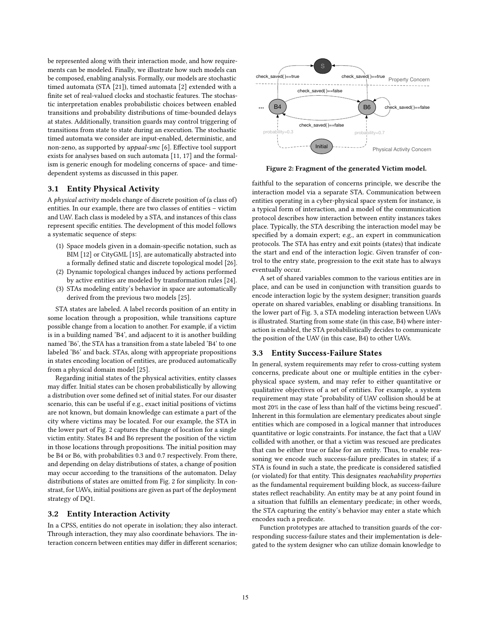be represented along with their interaction mode, and how requirements can be modeled. Finally, we illustrate how such models can be composed, enabling analysis. Formally, our models are stochastic timed automata (STA [21]), timed automata [2] extended with a finite set of real-valued clocks and stochastic features. The stochastic interpretation enables probabilistic choices between enabled transitions and probability distributions of time-bounded delays at states. Additionally, transition guards may control triggering of transitions from state to state during an execution. The stochastic timed automata we consider are input-enabled, deterministic, and non-zeno, as supported by *uppaal-smc* [6]. Effective tool support exists for analyses based on such automata [11, 17] and the formalism is generic enough for modeling concerns of space- and timedependent systems as discussed in this paper.

## **3.1 Entity Physical Activity**

A *physical activity* models change of discrete position of (a class of) entities. In our example, there are two classes of entities – victim and UAV. Each class is modeled by a STA, and instances of this class represent specific entities. The development of this model follows a systematic sequence of steps:

- (1) Space models given in a domain-specific notation, such as BIM [12] or CityGML [15], are automatically abstracted into a formally defined static and discrete topological model [26].
- (2) Dynamic topological changes induced by actions performed by active entities are modeled by transformation rules [24].
- (3) STAs modeling entity's behavior in space are automatically derived from the previous two models [25].

STA states are labeled. A label records position of an entity in some location through a proposition, while transitions capture possible change from a location to another. For example, if a victim is in a building named 'B4', and adjacent to it is another building named 'B6', the STA has a transition from a state labeled 'B4' to one labeled 'B6' and back. STAs, along with appropriate propositions in states encoding location of entities, are produced automatically from a physical domain model [25].

Regarding initial states of the physical activities, entity classes may differ. Initial states can be chosen probabilistically by allowing a distribution over some defined set of initial states. For our disaster scenario, this can be useful if e.g., exact initial positions of victims are not known, but domain knowledge can estimate a part of the city where victims may be located. For our example, the STA in the lower part of Fig. 2 captures the change of location for a single victim entity. States B4 and B6 represent the position of the victim in those locations through propositions. The initial position may be B4 or B6, with probabilities 0.3 and 0.7 respectively. From there, and depending on delay distributions of states, a change of position may occur according to the transitions of the automaton. Delay distributions of states are omitted from Fig. 2 for simplicity. In constrast, for UAVs, initial positions are given as part of the deployment strategy of DQ1.

## **3.2 Entity Interaction Activity**

In a CPSS, entities do not operate in isolation; they also interact. Through interaction, they may also coordinate behaviors. The interaction concern between entities may differ in different scenarios;



**Figure 2: Fragment of the generated Victim model.**

faithful to the separation of concerns principle, we describe the interaction model via a separate STA. Communication between entities operating in a cyber-physical space system for instance, is a typical form of interaction, and a model of the communication protocol describes how interaction between entity instances takes place. Typically, the STA describing the interaction model may be specified by a domain expert; e.g., an expert in communication protocols. The STA has entry and exit points (states) that indicate the start and end of the interaction logic. Given transfer of control to the entry state, progression to the exit state has to always eventually occur.

A set of shared variables common to the various entities are in place, and can be used in conjunction with transition guards to encode interaction logic by the system designer; transition guards operate on shared variables, enabling or disabling transitions. In the lower part of Fig. 3, a STA modeling interaction between UAVs is illustrated. Starting from some state (in this case, B4) where interaction is enabled, the STA probabilistically decides to communicate the position of the UAV (in this case, B4) to other UAVs.

#### **3.3 Entity Success-Failure States**

In general, system requirements may refer to cross-cutting system concerns, predicate about one or multiple entities in the cyberphysical space system, and may refer to either quantitative or qualitative objectives of a set of entities. For example, a system requirement may state "probability of UAV collision should be at most 20% in the case of less than half of the victims being rescued". Inherent in this formulation are elementary predicates about single entities which are composed in a logical manner that introduces quantitative or logic constraints. For instance, the fact that a UAV collided with another, or that a victim was rescued are predicates that can be either true or false for an entity. Thus, to enable reasoning we encode such success-failure predicates in states; if a STA is found in such a state, the predicate is considered satisfied (or violated) for that entity. This designates *reachability properties* as the fundamental requirement building block, as success-failure states reflect reachability. An entity may be at any point found in a situation that fulfills an elementary predicate; in other words, the STA capturing the entity's behavior may enter a state which encodes such a predicate.

Function prototypes are attached to transition guards of the corresponding success-failure states and their implementation is delegated to the system designer who can utilize domain knowledge to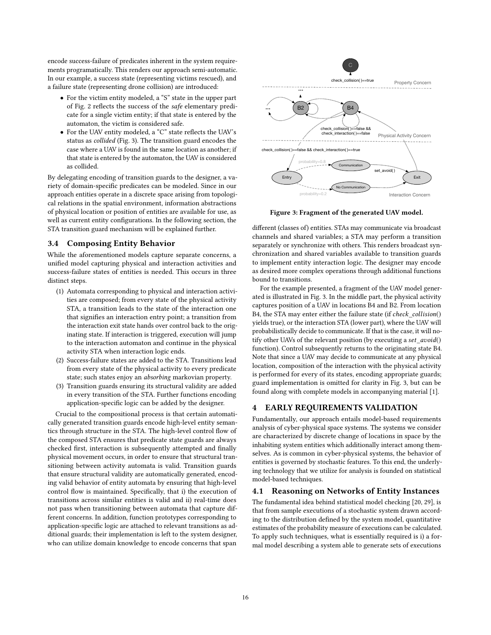encode success-failure of predicates inherent in the system requirements programatically. This renders our approach semi-automatic. In our example, a success state (representing victims rescued), and a failure state (representing drone collision) are introduced:

- For the victim entity modeled, a "S" state in the upper part of Fig. 2 reflects the success of the *safe* elementary predicate for a single victim entity; if that state is entered by the automaton, the victim is considered safe.
- For the UAV entity modeled, a "C" state reflects the UAV's status as *collided* (Fig. 3). The transition guard encodes the case where a UAV is found in the same location as another; if that state is entered by the automaton, the UAV is considered as collided.

By delegating encoding of transition guards to the designer, a variety of domain-specific predicates can be modeled. Since in our approach entities operate in a discrete space arising from topological relations in the spatial environment, information abstractions of physical location or position of entities are available for use, as well as current entity configurations. In the following section, the STA transition guard mechanism will be explained further.

## **3.4 Composing Entity Behavior**

While the aforementioned models capture separate concerns, a unified model capturing physical and interaction activities and success-failure states of entities is needed. This occurs in three distinct steps.

- (1) Automata corresponding to physical and interaction activities are composed; from every state of the physical activity STA, a transition leads to the state of the interaction one that signifies an interaction entry point; a transition from the interaction exit state hands over control back to the originating state. If interaction is triggered, execution will jump to the interaction automaton and continue in the physical activity STA when interaction logic ends.
- (2) Success-failure states are added to the STA. Transitions lead from every state of the physical activity to every predicate state; such states enjoy an *absorbing* markovian property.
- (3) Transition guards ensuring its structural validity are added in every transition of the STA. Further functions encoding application-specific logic can be added by the designer.

Crucial to the compositional process is that certain automatically generated transition guards encode high-level entity semantics through structure in the STA. The high-level control flow of the composed STA ensures that predicate state guards are always checked first, interaction is subsequently attempted and finally physical movement occurs, in order to ensure that structural transitioning between activity automata is valid. Transition guards that ensure structural validity are automatically generated, encoding valid behavior of entity automata by ensuring that high-level control flow is maintained. Specifically, that i) the execution of transitions across similar entities is valid and ii) real-time does not pass when transitioning between automata that capture different concerns. In addition, function prototypes corresponding to application-specific logic are attached to relevant transitions as additional guards; their implementation is left to the system designer, who can utilize domain knowledge to encode concerns that span



**Figure 3: Fragment of the generated UAV model.**

different (classes of) entities. STAs may communicate via broadcast channels and shared variables; a STA may perform a transition separately or synchronize with others. This renders broadcast synchronization and shared variables available to transition guards to implement entity interaction logic. The designer may encode as desired more complex operations through additional functions bound to transitions.

For the example presented, a fragment of the UAV model generated is illustrated in Fig. 3. In the middle part, the physical activity captures position of a UAV in locations B4 and B2. From location B4, the STA may enter either the failure state (if *check*\_*collision*() yields true), or the interaction STA (lower part), where the UAV will probabilistically decide to communicate. If that is the case, it will notify other UAVs of the relevant position (by executing a *set*\_*avoid*() function). Control subsequently returns to the originating state B4. Note that since a UAV may decide to communicate at any physical location, composition of the interaction with the physical activity is performed for every of its states, encoding appropriate guards; guard implementation is omitted for clarity in Fig. 3, but can be found along with complete models in accompanying material [1].

# **4 EARLY REQUIREMENTS VALIDATION**

Fundamentally, our approach entails model-based requirements analysis of cyber-physical space systems. The systems we consider are characterized by discrete change of locations in space by the inhabiting system entities which additionally interact among themselves. As is common in cyber-physical systems, the behavior of entities is governed by stochastic features. To this end, the underlying technology that we utilize for analysis is founded on statistical model-based techniques.

# **4.1 Reasoning on Networks of Entity Instances**

The fundamental idea behind statistical model checking [20, 29], is that from sample executions of a stochastic system drawn according to the distribution defined by the system model, quantitative estimates of the probability measure of executions can be calculated. To apply such techniques, what is essentially required is i) a formal model describing a system able to generate sets of executions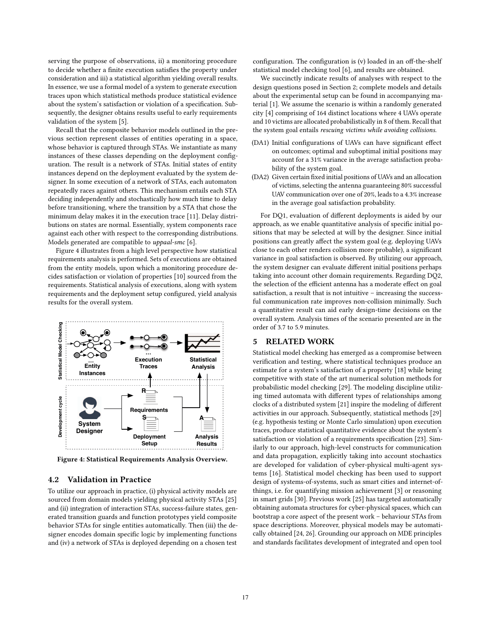serving the purpose of observations, ii) a monitoring procedure to decide whether a finite execution satisfies the property under consideration and iii) a statistical algorithm yielding overall results. In essence, we use a formal model of a system to generate execution traces upon which statistical methods produce statistical evidence about the system's satisfaction or violation of a specification. Subsequently, the designer obtains results useful to early requirements validation of the system [5].

Recall that the composite behavior models outlined in the previous section represent classes of entities operating in a space, whose behavior is captured through STAs. We instantiate as many instances of these classes depending on the deployment configuration. The result is a network of STAs. Initial states of entity instances depend on the deployment evaluated by the system designer. In some execution of a network of STAs, each automaton repeatedly races against others. This mechanism entails each STA deciding independently and stochastically how much time to delay before transitioning, where the transition by a STA that chose the minimum delay makes it in the execution trace [11]. Delay distributions on states are normal. Essentially, system components race against each other with respect to the corresponding distributions. Models generated are compatible to *uppaal-smc* [6].

Figure 4 illustrates from a high level perspective how statistical requirements analysis is performed. Sets of executions are obtained from the entity models, upon which a monitoring procedure decides satisfaction or violation of properties [10] sourced from the requirements. Statistical analysis of executions, along with system requirements and the deployment setup configured, yield analysis results for the overall system.



**Figure 4: Statistical Requirements Analysis Overview.**

# **4.2 Validation in Practice**

To utilize our approach in practice, (i) physical activity models are sourced from domain models yielding physical activity STAs [25] and (ii) integration of interaction STAs, success-failure states, generated transition guards and function prototypes yield composite behavior STAs for single entities automatically. Then (iii) the designer encodes domain specific logic by implementing functions and (iv) a network of STAs is deployed depending on a chosen test

configuration. The configuration is (v) loaded in an off-the-shelf statistical model checking tool [6], and results are obtained.

We succinctly indicate results of analyses with respect to the design questions posed in Section 2; complete models and details about the experimental setup can be found in accompanying material [1]. We assume the scenario is within a randomly generated city [4] comprising of 164 distinct locations where 4 UAVs operate and 10 victims are allocated probabilistically in 8 of them. Recall that the system goal entails *rescuing victims while avoiding collisions*.

- (DA1) Initial configurations of UAVs can have significant effect on outcomes; optimal and suboptimal initial positions may account for a 31% variance in the average satisfaction probability of the system goal.
- (DA2) Given certain fixed initial positions of UAVs and an allocation of victims, selecting the antenna guaranteeing 80% successful UAV communication over one of 20%, leads to a 4.3% increase in the average goal satisfaction probability.

For DQ1, evaluation of different deployments is aided by our approach, as we enable quantitative analysis of specific initial positions that may be selected at will by the designer. Since initial positions can greatly affect the system goal (e.g. deploying UAVs close to each other renders collision more probable), a significant variance in goal satisfaction is observed. By utilizing our approach, the system designer can evaluate different initial positions perhaps taking into account other domain requirements. Regarding DQ2, the selection of the efficient antenna has a moderate effect on goal satisfaction, a result that is not intuitive – increasing the successful communication rate improves non-collision minimally. Such a quantitative result can aid early design-time decisions on the overall system. Analysis times of the scenario presented are in the order of 3.7 to 5.9 minutes.

## **5 RELATED WORK**

Statistical model checking has emerged as a compromise between verification and testing, where statistical techniques produce an estimate for a system's satisfaction of a property [18] while being competitive with state of the art numerical solution methods for probabilistic model checking [29]. The modeling discipline utilizing timed automata with different types of relationships among clocks of a distributed system [21] inspire the modeling of different activities in our approach. Subsequently, statistical methods [29] (e.g. hypothesis testing or Monte Carlo simulation) upon execution traces, produce statistical quantitative evidence about the system's satisfaction or violation of a requirements specification [23]. Similarly to our approach, high-level constructs for communication and data propagation, explicitly taking into account stochastics are developed for validation of cyber-physical multi-agent systems [16]. Statistical model checking has been used to support design of systems-of-systems, such as smart cities and internet-ofthings, i.e. for quantifying mission achievement [3] or reasoning in smart grids [30]. Previous work [25] has targeted automatically obtaining automata structures for cyber-physical spaces, which can bootstrap a core aspect of the present work – behaviour STAs from space descriptions. Moreover, physical models may be automatically obtained [24, 26]. Grounding our approach on MDE principles and standards facilitates development of integrated and open tool